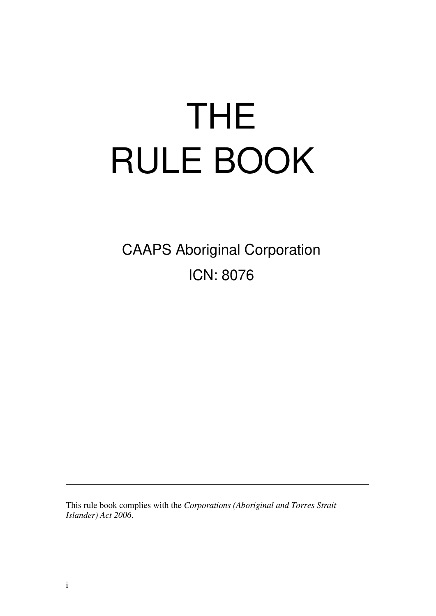# THE RULE BOOK

CAAPS Aboriginal Corporation ICN: 8076

This rule book complies with the *Corporations (Aboriginal and Torres Strait Islander) Act 2006*.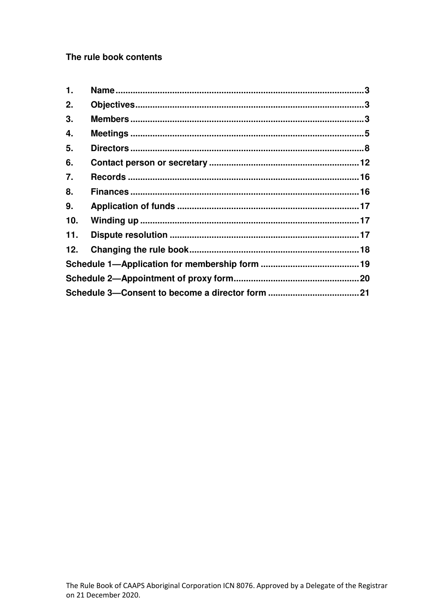The rule book contents

| 1.  |  |
|-----|--|
| 2.  |  |
| 3.  |  |
| 4.  |  |
| 5.  |  |
| 6.  |  |
| 7.  |  |
| 8.  |  |
| 9.  |  |
| 10. |  |
| 11. |  |
| 12. |  |
|     |  |
|     |  |
|     |  |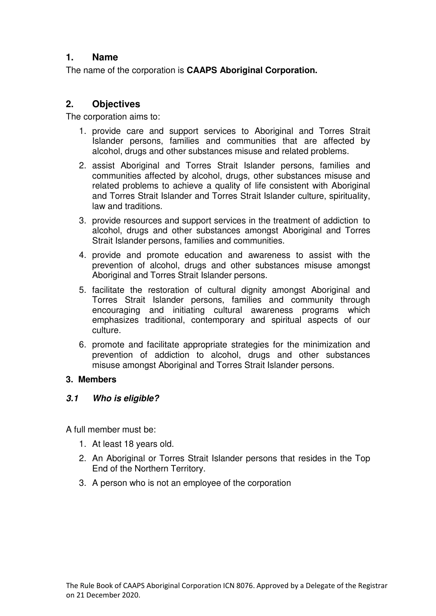## <span id="page-2-0"></span>**1. Name**

The name of the corporation is **CAAPS Aboriginal Corporation.** 

# <span id="page-2-1"></span>**2. Objectives**

The corporation aims to:

- 1. provide care and support services to Aboriginal and Torres Strait Islander persons, families and communities that are affected by alcohol, drugs and other substances misuse and related problems.
- 2. assist Aboriginal and Torres Strait Islander persons, families and communities affected by alcohol, drugs, other substances misuse and related problems to achieve a quality of life consistent with Aboriginal and Torres Strait Islander and Torres Strait Islander culture, spirituality, law and traditions.
- 3. provide resources and support services in the treatment of addiction to alcohol, drugs and other substances amongst Aboriginal and Torres Strait Islander persons, families and communities.
- 4. provide and promote education and awareness to assist with the prevention of alcohol, drugs and other substances misuse amongst Aboriginal and Torres Strait Islander persons.
- 5. facilitate the restoration of cultural dignity amongst Aboriginal and Torres Strait Islander persons, families and community through encouraging and initiating cultural awareness programs which emphasizes traditional, contemporary and spiritual aspects of our culture.
- 6. promote and facilitate appropriate strategies for the minimization and prevention of addiction to alcohol, drugs and other substances misuse amongst Aboriginal and Torres Strait Islander persons.

#### <span id="page-2-2"></span>**3. Members**

#### *3.1 Who is eligible?*

A full member must be:

- 1. At least 18 years old.
- 2. An Aboriginal or Torres Strait Islander persons that resides in the Top End of the Northern Territory.
- 3. A person who is not an employee of the corporation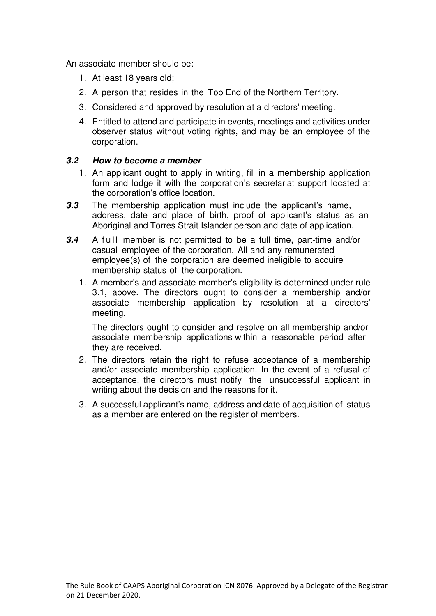An associate member should be:

- 1. At least 18 years old;
- 2. A person that resides in the Top End of the Northern Territory.
- 3. Considered and approved by resolution at a directors' meeting.
- 4. Entitled to attend and participate in events, meetings and activities under observer status without voting rights, and may be an employee of the corporation.

#### *3.2 How to become a member*

- 1. An applicant ought to apply in writing, fill in a membership application form and lodge it with the corporation's secretariat support located at the corporation's office location.
- *3.3* The membership application must include the applicant's name, address, date and place of birth, proof of applicant's status as an Aboriginal and Torres Strait Islander person and date of application.
- **3.4** A full member is not permitted to be a full time, part-time and/or casual employee of the corporation. All and any remunerated employee(s) of the corporation are deemed ineligible to acquire membership status of the corporation.
	- 1. A member's and associate member's eligibility is determined under rule 3.1, above. The directors ought to consider a membership and/or associate membership application by resolution at a directors' meeting.

The directors ought to consider and resolve on all membership and/or associate membership applications within a reasonable period after they are received.

- 2. The directors retain the right to refuse acceptance of a membership and/or associate membership application. In the event of a refusal of acceptance, the directors must notify the unsuccessful applicant in writing about the decision and the reasons for it.
- 3. A successful applicant's name, address and date of acquisition of status as a member are entered on the register of members.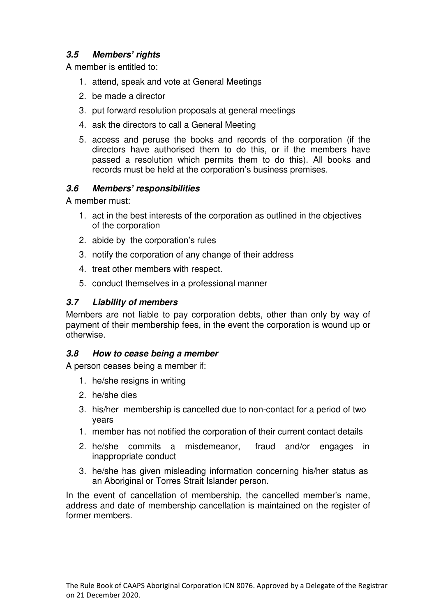# *3.5 Members' rights*

A member is entitled to:

- 1. attend, speak and vote at General Meetings
- 2. be made a director
- 3. put forward resolution proposals at general meetings
- 4. ask the directors to call a General Meeting
- 5. access and peruse the books and records of the corporation (if the directors have authorised them to do this, or if the members have passed a resolution which permits them to do this). All books and records must be held at the corporation's business premises.

# *3.6 Members' responsibilities*

A member must:

- 1. act in the best interests of the corporation as outlined in the objectives of the corporation
- 2. abide by the corporation's rules
- 3. notify the corporation of any change of their address
- 4. treat other members with respect.
- 5. conduct themselves in a professional manner

#### *3.7 Liability of members*

Members are not liable to pay corporation debts, other than only by way of payment of their membership fees, in the event the corporation is wound up or otherwise.

#### *3.8 How to cease being a member*

A person ceases being a member if:

- 1. he/she resigns in writing
- 2. he/she dies
- 3. his/her membership is cancelled due to non-contact for a period of two years
- 1. member has not notified the corporation of their current contact details
- 2. he/she commits a misdemeanor, fraud and/or engages in inappropriate conduct
- 3. he/she has given misleading information concerning his/her status as an Aboriginal or Torres Strait Islander person.

In the event of cancellation of membership, the cancelled member's name, address and date of membership cancellation is maintained on the register of former members.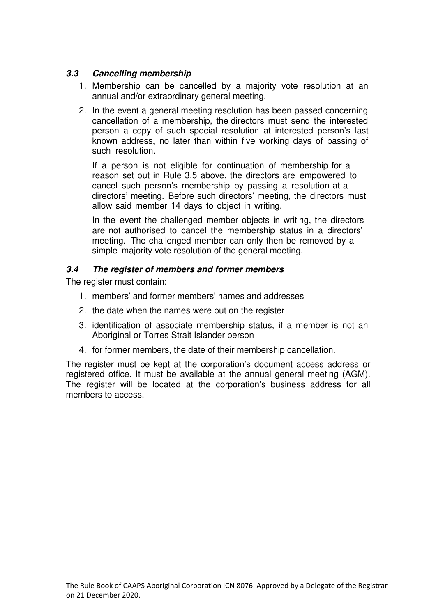## *3.3 Cancelling membership*

- 1. Membership can be cancelled by a majority vote resolution at an annual and/or extraordinary general meeting.
- 2. In the event a general meeting resolution has been passed concerning cancellation of a membership, the directors must send the interested person a copy of such special resolution at interested person's last known address, no later than within five working days of passing of such resolution.

If a person is not eligible for continuation of membership for a reason set out in Rule 3.5 above, the directors are empowered to cancel such person's membership by passing a resolution at a directors' meeting. Before such directors' meeting, the directors must allow said member 14 days to object in writing.

In the event the challenged member objects in writing, the directors are not authorised to cancel the membership status in a directors' meeting. The challenged member can only then be removed by a simple majority vote resolution of the general meeting.

#### *3.4 The register of members and former members*

The register must contain:

- 1. members' and former members' names and addresses
- 2. the date when the names were put on the register
- 3. identification of associate membership status, if a member is not an Aboriginal or Torres Strait Islander person
- 4. for former members, the date of their membership cancellation.

The register must be kept at the corporation's document access address or registered office. It must be available at the annual general meeting (AGM). The register will be located at the corporation's business address for all members to access.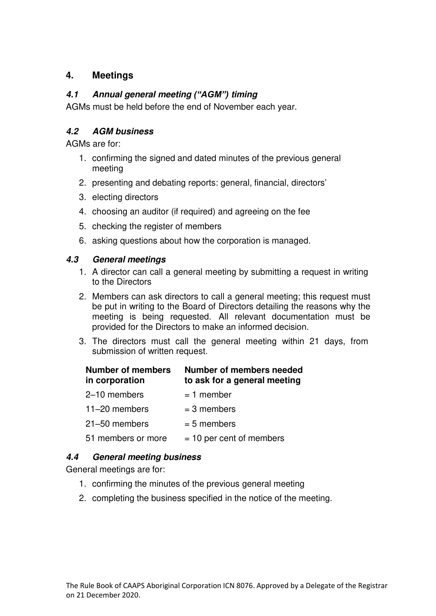# <span id="page-6-0"></span>**4. Meetings**

## *4.1 Annual general meeting ("AGM") timing*

AGMs must be held before the end of November each year.

# *4.2 AGM business*

AGMs are for:

- 1. confirming the signed and dated minutes of the previous general meeting
- 2. presenting and debating reports: general, financial, directors'
- 3. electing directors
- 4. choosing an auditor (if required) and agreeing on the fee
- 5. checking the register of members
- 6. asking questions about how the corporation is managed.

#### *4.3 General meetings*

- 1. A director can call a general meeting by submitting a request in writing to the Directors
- 2. Members can ask directors to call a general meeting; this request must be put in writing to the Board of Directors detailing the reasons why the meeting is being requested. All relevant documentation must be provided for the Directors to make an informed decision.
- 3. The directors must call the general meeting within 21 days, from submission of written request.

| <b>Number of members</b><br>in corporation | <b>Number of members needed</b><br>to ask for a general meeting |
|--------------------------------------------|-----------------------------------------------------------------|
| 2-10 members                               | $= 1$ member                                                    |
| $11-20$ members                            | $=$ 3 members                                                   |
| 21-50 members                              | $= 5$ members                                                   |
| 51 members or more                         | $= 10$ per cent of members                                      |

# *4.4 General meeting business*

General meetings are for:

- 1. confirming the minutes of the previous general meeting
- 2. completing the business specified in the notice of the meeting.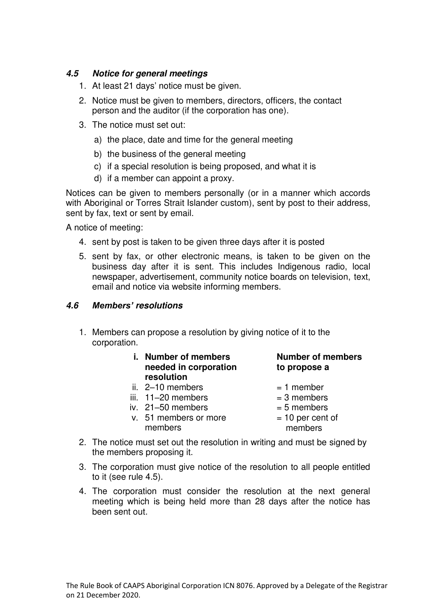#### *4.5 Notice for general meetings*

- 1. At least 21 days' notice must be given.
- 2. Notice must be given to members, directors, officers, the contact person and the auditor (if the corporation has one).
- 3. The notice must set out:
	- a) the place, date and time for the general meeting
	- b) the business of the general meeting
	- c) if a special resolution is being proposed, and what it is
	- d) if a member can appoint a proxy.

Notices can be given to members personally (or in a manner which accords with Aboriginal or Torres Strait Islander custom), sent by post to their address, sent by fax, text or sent by email.

A notice of meeting:

- 4. sent by post is taken to be given three days after it is posted
- 5. sent by fax, or other electronic means, is taken to be given on the business day after it is sent. This includes Indigenous radio, local newspaper, advertisement, community notice boards on television, text, email and notice via website informing members.

#### *4.6 Members' resolutions*

- 1. Members can propose a resolution by giving notice of it to the corporation.
	- **i. Number of members Number of members needed in corporation to propose a resolution**
	-
	- ii.  $2-10$  members  $= 1$  member<br>iii.  $11-20$  members  $= 3$  members iii. 11–20 members<br>iv. 21–50 members
	- iv.  $21-50$  members  $= 5$  members
	- v. 51 members or more  $= 10$  per cent of members members
- 
- 
- 
- 
- 
- 2. The notice must set out the resolution in writing and must be signed by the members proposing it.
- 3. The corporation must give notice of the resolution to all people entitled to it (see rule 4.5).
- 4. The corporation must consider the resolution at the next general meeting which is being held more than 28 days after the notice has been sent out.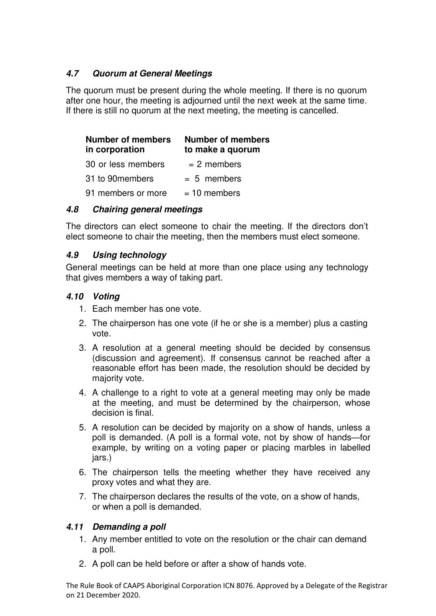## *4.7 Quorum at General Meetings*

The quorum must be present during the whole meeting. If there is no quorum after one hour, the meeting is adjourned until the next week at the same time. If there is still no quorum at the next meeting, the meeting is cancelled.

| <b>Number of members</b><br>in corporation | <b>Number of members</b><br>to make a quorum |
|--------------------------------------------|----------------------------------------------|
| 30 or less members                         | $= 2$ members                                |
| 31 to 90 members                           | $= 5$ members                                |
| 91 members or more                         | $= 10$ members                               |

#### *4.8 Chairing general meetings*

The directors can elect someone to chair the meeting. If the directors don't elect someone to chair the meeting, then the members must elect someone.

#### *4.9 Using technology*

General meetings can be held at more than one place using any technology that gives members a way of taking part.

#### *4.10 Voting*

- 1. Each member has one vote.
- 2. The chairperson has one vote (if he or she is a member) plus a casting vote.
- 3. A resolution at a general meeting should be decided by consensus (discussion and agreement). If consensus cannot be reached after a reasonable effort has been made, the resolution should be decided by majority vote.
- 4. A challenge to a right to vote at a general meeting may only be made at the meeting, and must be determined by the chairperson, whose decision is final.
- 5. A resolution can be decided by majority on a show of hands, unless a poll is demanded. (A poll is a formal vote, not by show of hands—for example, by writing on a voting paper or placing marbles in labelled jars.)
- 6. The chairperson tells the meeting whether they have received any proxy votes and what they are.
- 7. The chairperson declares the results of the vote, on a show of hands, or when a poll is demanded.

#### *4.11 Demanding a poll*

- 1. Any member entitled to vote on the resolution or the chair can demand a poll.
- 2. A poll can be held before or after a show of hands vote.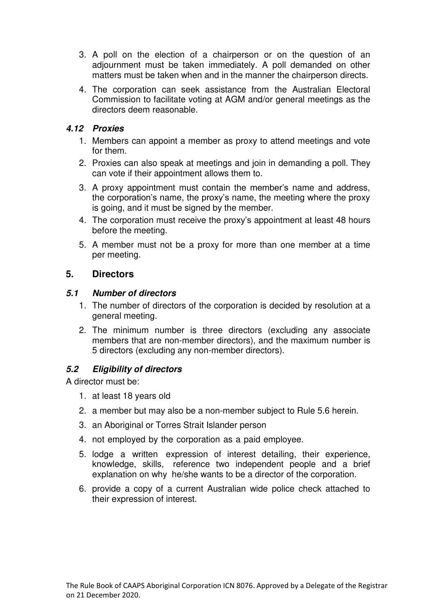- 3. A poll on the election of a chairperson or on the question of an adjournment must be taken immediately. A poll demanded on other matters must be taken when and in the manner the chairperson directs.
- 4. The corporation can seek assistance from the Australian Electoral Commission to facilitate voting at AGM and/or general meetings as the directors deem reasonable.

#### *4.12 Proxies*

- 1. Members can appoint a member as proxy to attend meetings and vote for them.
- 2. Proxies can also speak at meetings and join in demanding a poll. They can vote if their appointment allows them to.
- 3. A proxy appointment must contain the member's name and address, the corporation's name, the proxy's name, the meeting where the proxy is going, and it must be signed by the member.
- 4. The corporation must receive the proxy's appointment at least 48 hours before the meeting.
- 5. A member must not be a proxy for more than one member at a time per meeting.

#### <span id="page-9-0"></span>**5. Directors**

#### *5.1 Number of directors*

- 1. The number of directors of the corporation is decided by resolution at a general meeting.
- 2. The minimum number is three directors (excluding any associate members that are non-member directors), and the maximum number is 5 directors (excluding any non-member directors).

#### *5.2 Eligibility of directors*

A director must be:

- 1. at least 18 years old
- 2. a member but may also be a non-member subject to Rule 5.6 herein.
- 3. an Aboriginal or Torres Strait Islander person
- 4. not employed by the corporation as a paid employee.
- 5. lodge a written expression of interest detailing, their experience, knowledge, skills, reference two independent people and a brief explanation on why he/she wants to be a director of the corporation.
- 6. provide a copy of a current Australian wide police check attached to their expression of interest.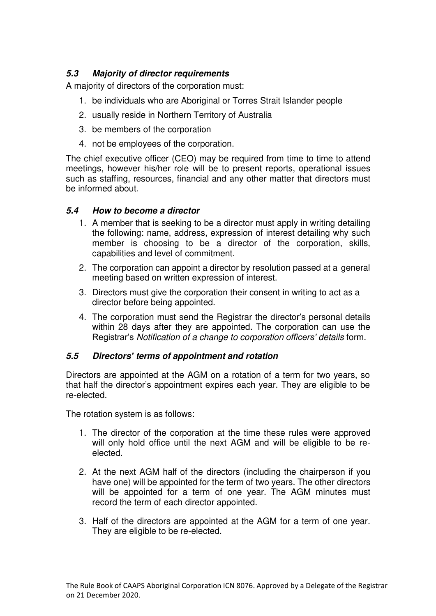# *5.3 Majority of director requirements*

A majority of directors of the corporation must:

- 1. be individuals who are Aboriginal or Torres Strait Islander people
- 2. usually reside in Northern Territory of Australia
- 3. be members of the corporation
- 4. not be employees of the corporation.

The chief executive officer (CEO) may be required from time to time to attend meetings, however his/her role will be to present reports, operational issues such as staffing, resources, financial and any other matter that directors must be informed about.

#### *5.4 How to become a director*

- 1. A member that is seeking to be a director must apply in writing detailing the following: name, address, expression of interest detailing why such member is choosing to be a director of the corporation, skills, capabilities and level of commitment.
- 2. The corporation can appoint a director by resolution passed at a general meeting based on written expression of interest.
- 3. Directors must give the corporation their consent in writing to act as a director before being appointed.
- 4. The corporation must send the Registrar the director's personal details within 28 days after they are appointed. The corporation can use the Registrar's *Notification of a change to corporation officers' details* form.

#### *5.5 Directors' terms of appointment and rotation*

Directors are appointed at the AGM on a rotation of a term for two years, so that half the director's appointment expires each year. They are eligible to be re-elected.

The rotation system is as follows:

- 1. The director of the corporation at the time these rules were approved will only hold office until the next AGM and will be eligible to be reelected.
- 2. At the next AGM half of the directors (including the chairperson if you have one) will be appointed for the term of two years. The other directors will be appointed for a term of one year. The AGM minutes must record the term of each director appointed.
- 3. Half of the directors are appointed at the AGM for a term of one year. They are eligible to be re-elected.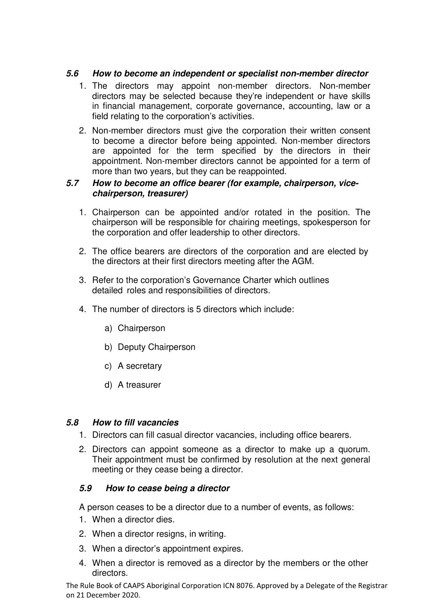## *5.6 How to become an independent or specialist non-member director*

- 1. The directors may appoint non-member directors. Non-member directors may be selected because they're independent or have skills in financial management, corporate governance, accounting, law or a field relating to the corporation's activities.
- 2. Non-member directors must give the corporation their written consent to become a director before being appointed. Non-member directors are appointed for the term specified by the directors in their appointment. Non-member directors cannot be appointed for a term of more than two years, but they can be reappointed.

#### *5.7 How to become an office bearer (for example, chairperson, vicechairperson, treasurer)*

- 1. Chairperson can be appointed and/or rotated in the position. The chairperson will be responsible for chairing meetings, spokesperson for the corporation and offer leadership to other directors.
- 2. The office bearers are directors of the corporation and are elected by the directors at their first directors meeting after the AGM.
- 3. Refer to the corporation's Governance Charter which outlines detailed roles and responsibilities of directors.
- 4. The number of directors is 5 directors which include:
	- a) Chairperson
	- b) Deputy Chairperson
	- c) A secretary
	- d) A treasurer

#### *5.8 How to fill vacancies*

- 1. Directors can fill casual director vacancies, including office bearers.
- 2. Directors can appoint someone as a director to make up a quorum. Their appointment must be confirmed by resolution at the next general meeting or they cease being a director.

#### *5.9 How to cease being a director*

A person ceases to be a director due to a number of events, as follows:

- 1. When a director dies.
- 2. When a director resigns, in writing.
- 3. When a director's appointment expires.
- 4. When a director is removed as a director by the members or the other directors.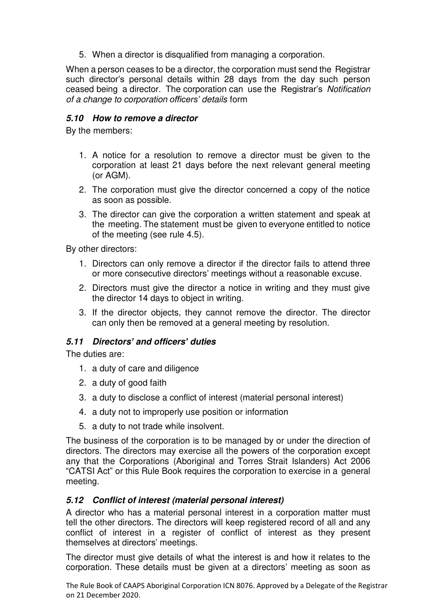5. When a director is disqualified from managing a corporation.

When a person ceases to be a director, the corporation must send the Registrar such director's personal details within 28 days from the day such person ceased being a director. The corporation can use the Registrar's *Notification of a change to corporation officers' details* form

#### *5.10 How to remove a director*

By the members:

- 1. A notice for a resolution to remove a director must be given to the corporation at least 21 days before the next relevant general meeting (or AGM).
- 2. The corporation must give the director concerned a copy of the notice as soon as possible.
- 3. The director can give the corporation a written statement and speak at the meeting. The statement must be given to everyone entitled to notice of the meeting (see rule 4.5).

By other directors:

- 1. Directors can only remove a director if the director fails to attend three or more consecutive directors' meetings without a reasonable excuse.
- 2. Directors must give the director a notice in writing and they must give the director 14 days to object in writing.
- 3. If the director objects, they cannot remove the director. The director can only then be removed at a general meeting by resolution.

#### *5.11 Directors' and officers' duties*

The duties are:

- 1. a duty of care and diligence
- 2. a duty of good faith
- 3. a duty to disclose a conflict of interest (material personal interest)
- 4. a duty not to improperly use position or information
- 5. a duty to not trade while insolvent.

The business of the corporation is to be managed by or under the direction of directors. The directors may exercise all the powers of the corporation except any that the Corporations (Aboriginal and Torres Strait Islanders) Act 2006 "CATSI Act" or this Rule Book requires the corporation to exercise in a general meeting.

#### *5.12 Conflict of interest (material personal interest)*

A director who has a material personal interest in a corporation matter must tell the other directors. The directors will keep registered record of all and any conflict of interest in a register of conflict of interest as they present themselves at directors' meetings.

The director must give details of what the interest is and how it relates to the corporation. These details must be given at a directors' meeting as soon as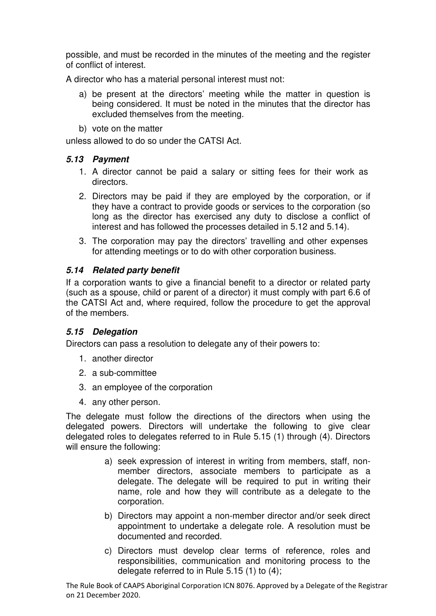possible, and must be recorded in the minutes of the meeting and the register of conflict of interest.

A director who has a material personal interest must not:

- a) be present at the directors' meeting while the matter in question is being considered. It must be noted in the minutes that the director has excluded themselves from the meeting.
- b) vote on the matter

unless allowed to do so under the CATSI Act.

#### *5.13 Payment*

- 1. A director cannot be paid a salary or sitting fees for their work as directors.
- 2. Directors may be paid if they are employed by the corporation, or if they have a contract to provide goods or services to the corporation (so long as the director has exercised any duty to disclose a conflict of interest and has followed the processes detailed in 5.12 and 5.14).
- 3. The corporation may pay the directors' travelling and other expenses for attending meetings or to do with other corporation business.

#### *5.14 Related party benefit*

If a corporation wants to give a financial benefit to a director or related party (such as a spouse, child or parent of a director) it must comply with part 6.6 of the CATSI Act and, where required, follow the procedure to get the approval of the members.

#### *5.15 Delegation*

Directors can pass a resolution to delegate any of their powers to:

- 1. another director
- 2. a sub-committee
- 3. an employee of the corporation
- 4. any other person.

The delegate must follow the directions of the directors when using the delegated powers. Directors will undertake the following to give clear delegated roles to delegates referred to in Rule 5.15 (1) through (4). Directors will ensure the following:

- a) seek expression of interest in writing from members, staff, nonmember directors, associate members to participate as a delegate. The delegate will be required to put in writing their name, role and how they will contribute as a delegate to the corporation.
- b) Directors may appoint a non-member director and/or seek direct appointment to undertake a delegate role. A resolution must be documented and recorded.
- c) Directors must develop clear terms of reference, roles and responsibilities, communication and monitoring process to the delegate referred to in Rule 5.15 (1) to (4);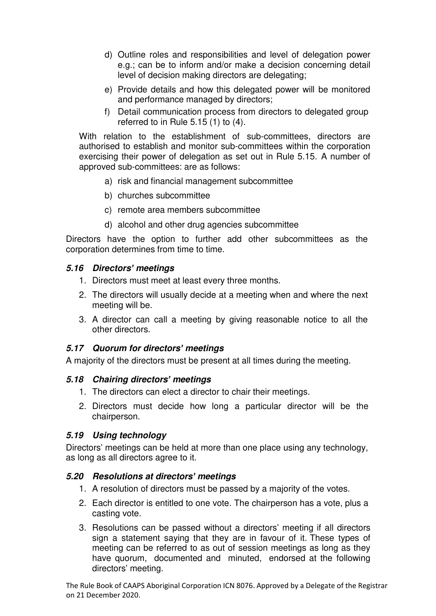- d) Outline roles and responsibilities and level of delegation power e.g.; can be to inform and/or make a decision concerning detail level of decision making directors are delegating;
- e) Provide details and how this delegated power will be monitored and performance managed by directors;
- f) Detail communication process from directors to delegated group referred to in Rule 5.15 (1) to (4).

With relation to the establishment of sub-committees, directors are authorised to establish and monitor sub-committees within the corporation exercising their power of delegation as set out in Rule 5.15. A number of approved sub-committees: are as follows:

- a) risk and financial management subcommittee
- b) churches subcommittee
- c) remote area members subcommittee
- d) alcohol and other drug agencies subcommittee

Directors have the option to further add other subcommittees as the corporation determines from time to time.

#### *5.16 Directors' meetings*

- 1. Directors must meet at least every three months.
- 2. The directors will usually decide at a meeting when and where the next meeting will be.
- 3. A director can call a meeting by giving reasonable notice to all the other directors.

#### *5.17 Quorum for directors' meetings*

A majority of the directors must be present at all times during the meeting.

#### *5.18 Chairing directors' meetings*

- 1. The directors can elect a director to chair their meetings.
- 2. Directors must decide how long a particular director will be the chairperson.

#### *5.19 Using technology*

Directors' meetings can be held at more than one place using any technology, as long as all directors agree to it.

#### *5.20 Resolutions at directors' meetings*

- 1. A resolution of directors must be passed by a majority of the votes.
- 2. Each director is entitled to one vote. The chairperson has a vote, plus a casting vote.
- 3. Resolutions can be passed without a directors' meeting if all directors sign a statement saying that they are in favour of it. These types of meeting can be referred to as out of session meetings as long as they have quorum, documented and minuted, endorsed at the following directors' meeting.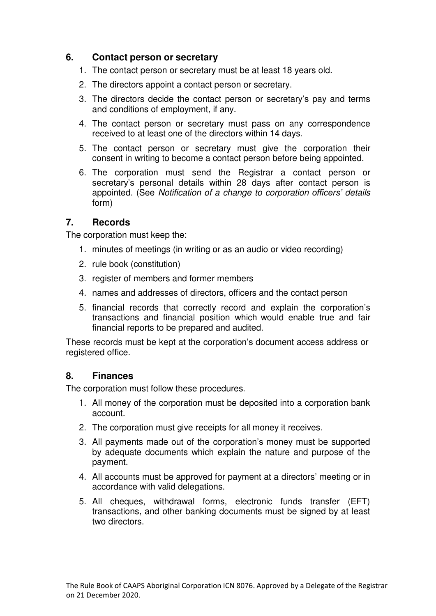## <span id="page-15-0"></span>**6. Contact person or secretary**

- 1. The contact person or secretary must be at least 18 years old.
- 2. The directors appoint a contact person or secretary.
- 3. The directors decide the contact person or secretary's pay and terms and conditions of employment, if any.
- 4. The contact person or secretary must pass on any correspondence received to at least one of the directors within 14 days.
- 5. The contact person or secretary must give the corporation their consent in writing to become a contact person before being appointed.
- 6. The corporation must send the Registrar a contact person or secretary's personal details within 28 days after contact person is appointed. (See *Notification of a change to corporation officers' details*  form)

#### <span id="page-15-1"></span>**7. Records**

The corporation must keep the:

- 1. minutes of meetings (in writing or as an audio or video recording)
- 2. rule book (constitution)
- 3. register of members and former members
- 4. names and addresses of directors, officers and the contact person
- 5. financial records that correctly record and explain the corporation's transactions and financial position which would enable true and fair financial reports to be prepared and audited.

These records must be kept at the corporation's document access address or registered office.

# <span id="page-15-2"></span>**8. Finances**

The corporation must follow these procedures.

- 1. All money of the corporation must be deposited into a corporation bank account.
- 2. The corporation must give receipts for all money it receives.
- 3. All payments made out of the corporation's money must be supported by adequate documents which explain the nature and purpose of the payment.
- 4. All accounts must be approved for payment at a directors' meeting or in accordance with valid delegations.
- 5. All cheques, withdrawal forms, electronic funds transfer (EFT) transactions, and other banking documents must be signed by at least two directors.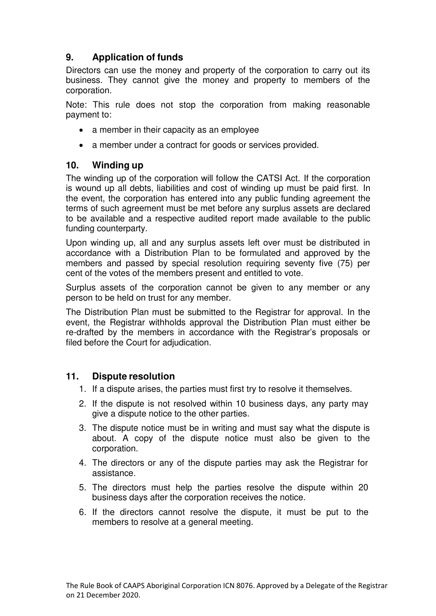# <span id="page-16-0"></span>**9. Application of funds**

Directors can use the money and property of the corporation to carry out its business. They cannot give the money and property to members of the corporation.

Note: This rule does not stop the corporation from making reasonable payment to:

- a member in their capacity as an employee
- a member under a contract for goods or services provided.

# <span id="page-16-1"></span>**10. Winding up**

The winding up of the corporation will follow the CATSI Act. If the corporation is wound up all debts, liabilities and cost of winding up must be paid first. In the event, the corporation has entered into any public funding agreement the terms of such agreement must be met before any surplus assets are declared to be available and a respective audited report made available to the public funding counterparty.

Upon winding up, all and any surplus assets left over must be distributed in accordance with a Distribution Plan to be formulated and approved by the members and passed by special resolution requiring seventy five (75) per cent of the votes of the members present and entitled to vote.

Surplus assets of the corporation cannot be given to any member or any person to be held on trust for any member.

The Distribution Plan must be submitted to the Registrar for approval. In the event, the Registrar withholds approval the Distribution Plan must either be re-drafted by the members in accordance with the Registrar's proposals or filed before the Court for adjudication.

# <span id="page-16-2"></span>**11. Dispute resolution**

- 1. If a dispute arises, the parties must first try to resolve it themselves.
- 2. If the dispute is not resolved within 10 business days, any party may give a dispute notice to the other parties.
- 3. The dispute notice must be in writing and must say what the dispute is about. A copy of the dispute notice must also be given to the corporation.
- 4. The directors or any of the dispute parties may ask the Registrar for assistance.
- 5. The directors must help the parties resolve the dispute within 20 business days after the corporation receives the notice.
- 6. If the directors cannot resolve the dispute, it must be put to the members to resolve at a general meeting.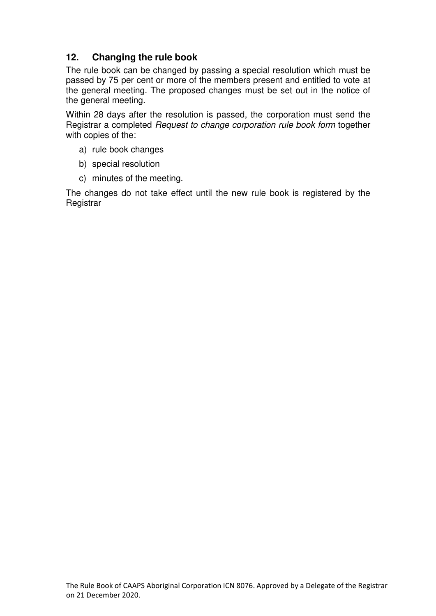# <span id="page-17-0"></span>**12. Changing the rule book**

The rule book can be changed by passing a special resolution which must be passed by 75 per cent or more of the members present and entitled to vote at the general meeting. The proposed changes must be set out in the notice of the general meeting.

Within 28 days after the resolution is passed, the corporation must send the Registrar a completed *Request to change corporation rule book form* together with copies of the:

- a) rule book changes
- b) special resolution
- c) minutes of the meeting.

The changes do not take effect until the new rule book is registered by the **Registrar**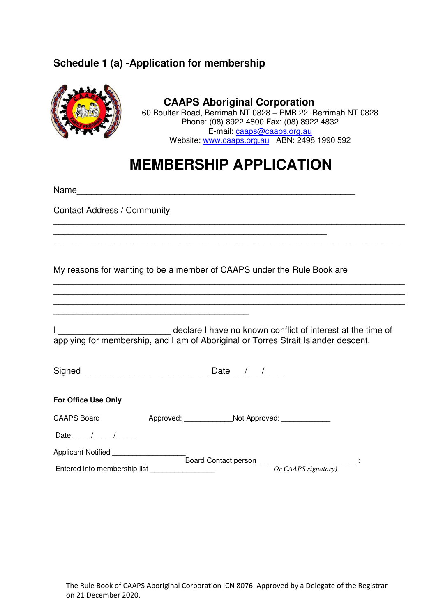# <span id="page-18-0"></span>**Schedule 1 (a) -Application for membership**

<span id="page-18-1"></span>

#### **CAAPS Aboriginal Corporation**  60 Boulter Road, Berrimah NT 0828 – PMB 22, Berrimah NT 0828 Phone: (08) 8922 4800 Fax: (08) 8922 4832 E-mail: caaps@caaps.org.au Website: www.caaps.org.au ABN: 2498 1990 592

# **MEMBERSHIP APPLICATION**

\_\_\_\_\_\_\_\_\_\_\_\_\_\_\_\_\_\_\_\_\_\_\_\_\_\_\_\_\_\_\_\_\_\_\_\_\_\_\_\_\_\_\_\_\_\_\_\_\_\_\_\_\_\_\_\_\_\_\_\_\_\_\_\_\_\_\_\_\_\_\_\_

\_\_\_\_\_\_\_\_\_\_\_\_\_\_\_\_\_\_\_\_\_\_\_\_\_\_\_\_\_\_\_\_\_\_\_\_\_\_\_\_\_\_\_\_\_\_\_\_\_\_\_\_\_\_\_\_\_\_\_\_\_\_\_\_\_\_\_\_\_\_\_\_ \_\_\_\_\_\_\_\_\_\_\_\_\_\_\_\_\_\_\_\_\_\_\_\_\_\_\_\_\_\_\_\_\_\_\_\_\_\_\_\_\_\_\_\_\_\_\_\_\_\_\_\_\_\_\_\_\_\_\_\_\_\_\_\_\_\_\_\_\_\_\_\_ \_\_\_\_\_\_\_\_\_\_\_\_\_\_\_\_\_\_\_\_\_\_\_\_\_\_\_\_\_\_\_\_\_\_\_\_\_\_\_\_\_\_\_\_\_\_\_\_\_\_\_\_\_\_\_\_\_\_\_\_\_\_\_\_\_\_\_\_\_\_\_\_

Name\_\_\_\_\_\_\_\_\_\_\_\_\_\_\_\_\_\_\_\_\_\_\_\_\_\_\_\_\_\_\_\_\_\_\_\_\_\_\_\_\_\_\_\_\_\_\_\_\_\_\_\_\_\_\_\_\_

Contact Address / Community

My reasons for wanting to be a member of CAAPS under the Rule Book are

\_\_\_\_\_\_\_\_\_\_\_\_\_\_\_\_\_\_\_\_\_\_\_\_\_\_\_\_\_\_\_\_\_\_\_\_\_\_\_\_\_\_\_\_\_\_\_\_\_\_\_\_\_\_\_\_

I \_\_\_\_\_\_\_\_\_\_\_\_\_\_\_\_\_\_\_\_\_\_\_\_\_\_\_\_\_\_ declare I have no known conflict of interest at the time of applying for membership, and I am of Aboriginal or Torres Strait Islander descent.

Signed\_\_\_\_\_\_\_\_\_\_\_\_\_\_\_\_\_\_\_\_\_\_\_\_\_\_ Date\_\_\_/\_\_\_/\_\_\_\_

\_\_\_\_\_\_\_\_\_\_\_\_\_\_\_\_\_\_\_\_\_\_\_\_\_\_\_\_\_\_\_\_\_\_\_\_\_\_\_\_

| For Office Use Only          |           |                             |                     |  |
|------------------------------|-----------|-----------------------------|---------------------|--|
| <b>CAAPS Board</b>           | Approved: |                             | Not Approved:       |  |
| Date:                        |           |                             |                     |  |
| Applicant Notified           |           |                             |                     |  |
|                              |           | <b>Board Contact person</b> |                     |  |
| Entered into membership list |           |                             | Or CAAPS signatory) |  |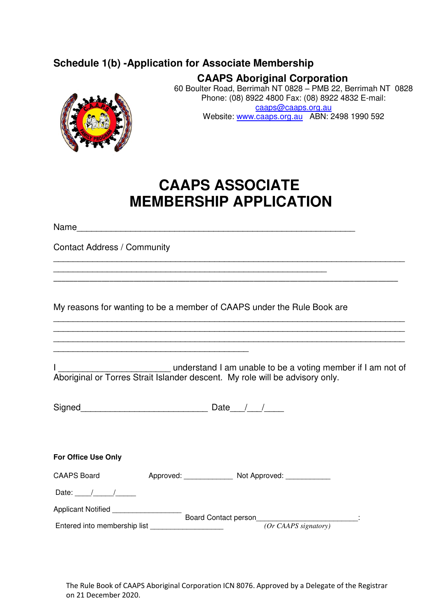# **Schedule 1(b) -Application for Associate Membership**



**CAAPS Aboriginal Corporation**  60 Boulter Road, Berrimah NT 0828 – PMB 22, Berrimah NT 0828 Phone: (08) 8922 4800 Fax: (08) 8922 4832 E-mail: caaps@caaps.org.au Website: www.caaps.org.au ABN: 2498 1990 592

# **CAAPS ASSOCIATE MEMBERSHIP APPLICATION**

\_\_\_\_\_\_\_\_\_\_\_\_\_\_\_\_\_\_\_\_\_\_\_\_\_\_\_\_\_\_\_\_\_\_\_\_\_\_\_\_\_\_\_\_\_\_\_\_\_\_\_\_\_\_\_\_\_\_\_\_\_\_\_\_\_\_\_\_\_\_\_\_

\_\_\_\_\_\_\_\_\_\_\_\_\_\_\_\_\_\_\_\_\_\_\_\_\_\_\_\_\_\_\_\_\_\_\_\_\_\_\_\_\_\_\_\_\_\_\_\_\_\_\_\_\_\_\_\_\_\_\_\_\_\_\_\_\_\_\_\_\_\_\_\_\_\_\_\_\_\_\_\_\_\_\_\_\_\_

\_\_\_\_\_\_\_\_\_\_\_\_\_\_\_\_\_\_\_\_\_\_\_\_\_\_\_\_\_\_\_\_\_\_\_\_\_\_\_\_\_\_\_\_\_\_\_\_\_\_\_\_\_\_\_\_\_\_\_\_\_\_\_\_\_\_\_\_\_\_\_\_ \_\_\_\_\_\_\_\_\_\_\_\_\_\_\_\_\_\_\_\_\_\_\_\_\_\_\_\_\_\_\_\_\_\_\_\_\_\_\_\_\_\_\_\_\_\_\_\_\_\_\_\_\_\_\_\_\_\_\_\_\_\_\_\_\_\_\_\_\_\_\_\_ \_\_\_\_\_\_\_\_\_\_\_\_\_\_\_\_\_\_\_\_\_\_\_\_\_\_\_\_\_\_\_\_\_\_\_\_\_\_\_\_\_\_\_\_\_\_\_\_\_\_\_\_\_\_\_\_\_\_\_\_\_\_\_\_\_\_\_\_\_\_\_\_

Name

Contact Address / Community

My reasons for wanting to be a member of CAAPS under the Rule Book are

\_\_\_\_\_\_\_\_\_\_\_\_\_\_\_\_\_\_\_\_\_\_\_\_\_\_\_\_\_\_\_\_\_\_\_\_\_\_\_\_\_\_\_\_\_\_\_\_\_\_\_\_\_\_\_\_

I \_\_\_\_\_\_\_\_\_\_\_\_\_\_\_\_\_\_\_\_\_\_\_ understand I am unable to be a voting member if I am not of Aboriginal or Torres Strait Islander descent. My role will be advisory only.

| Signed | ⊃ate |
|--------|------|
|        |      |

| Not Approved:                |                                                             |
|------------------------------|-------------------------------------------------------------|
|                              |                                                             |
|                              |                                                             |
|                              |                                                             |
| Entered into membership list | Approved:<br>Board Contact person<br>$(Or CAAPS$ signatory) |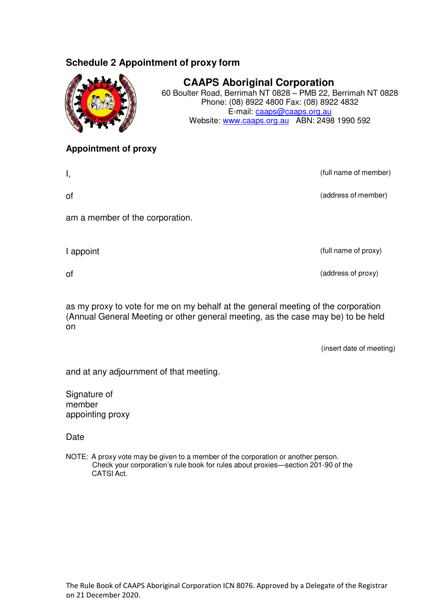# **Schedule 2 Appointment of proxy form**



**CAAPS Aboriginal Corporation**  60 Boulter Road, Berrimah NT 0828 – PMB 22, Berrimah NT 0828

Phone: (08) 8922 4800 Fax: (08) 8922 4832 E-mail: caaps@caaps.org.au Website: www.caaps.org.au ABN: 2498 1990 592

#### **Appointment of proxy**

I, (full name of member)

of (address of member)

am a member of the corporation.

I appoint (full name of proxy)

of (address of proxy)

as my proxy to vote for me on my behalf at the general meeting of the corporation (Annual General Meeting or other general meeting, as the case may be) to be held on

(insert date of meeting)

and at any adjournment of that meeting.

Signature of member appointing proxy

Date

NOTE: A proxy vote may be given to a member of the corporation or another person. Check your corporation's rule book for rules about proxies—section 201-90 of the CATSI Act.